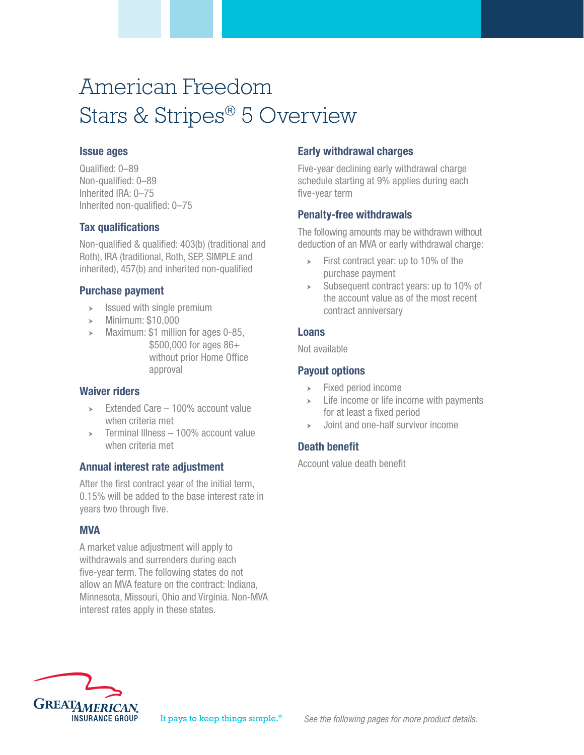# American Freedom Stars & Stripes® 5 Overview

### Issue ages

Qualified: 0–89 Non-qualified: 0–89 Inherited IRA: 0–75 Inherited non-qualified: 0–75

## Tax qualifications

Non-qualified & qualified: 403(b) (traditional and Roth), IRA (traditional, Roth, SEP, SIMPLE and inherited), 457(b) and inherited non-qualified

## Purchase payment

- $\triangleright$  Issued with single premium
- $\blacktriangleright$  Minimum: \$10,000
- $\blacktriangleright$  Maximum: \$1 million for ages 0-85, \$500,000 for ages 86+ without prior Home Office approval

### Waiver riders

- $\geq$  Extended Care 100% account value when criteria met
- $\ge$  Terminal Illness 100% account value when criteria met

## Annual interest rate adjustment

After the first contract year of the initial term, 0.15% will be added to the base interest rate in years two through five.

### **MVA**

A market value adjustment will apply to withdrawals and surrenders during each five-year term. The following states do not allow an MVA feature on the contract: Indiana, Minnesota, Missouri, Ohio and Virginia. Non-MVA interest rates apply in these states.

## Early withdrawal charges

Five-year declining early withdrawal charge schedule starting at 9% applies during each five-year term

## Penalty-free withdrawals

The following amounts may be withdrawn without deduction of an MVA or early withdrawal charge:

- $\triangleright$  First contract year: up to 10% of the purchase payment
- $\geq$  Subsequent contract years: up to 10% of the account value as of the most recent contract anniversary

## Loans

Not available

## Payout options

- $\triangleright$  Fixed period income
- $\geq$  Life income or life income with payments for at least a fixed period
- $\rightarrow$  Joint and one-half survivor income

## Death benefit

Account value death benefit

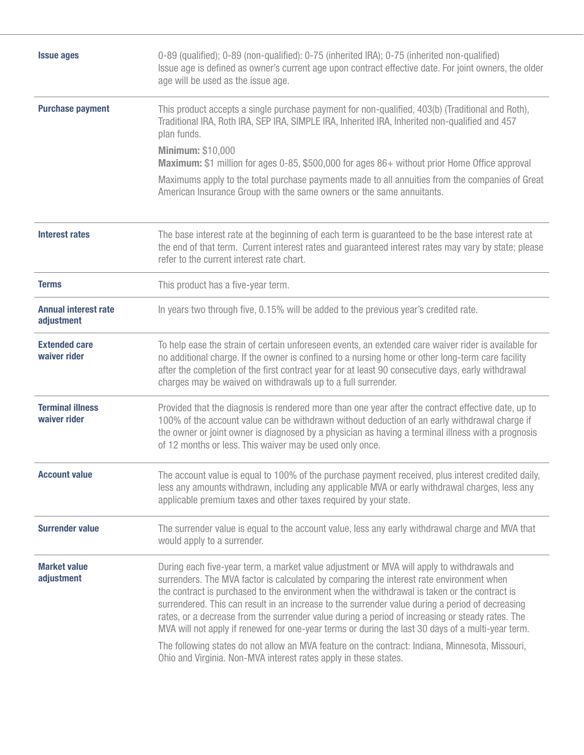| 0-89 (qualified); 0-89 (non-qualified): 0-75 (inherited IRA); 0-75 (inherited non-qualified)<br>Issue age is defined as owner's current age upon contract effective date. For joint owners, the older<br>age will be used as the issue age.                                                                                                                                                                                                                                                                                                                                                                                                                                                                                                                                |  |  |  |  |  |  |
|----------------------------------------------------------------------------------------------------------------------------------------------------------------------------------------------------------------------------------------------------------------------------------------------------------------------------------------------------------------------------------------------------------------------------------------------------------------------------------------------------------------------------------------------------------------------------------------------------------------------------------------------------------------------------------------------------------------------------------------------------------------------------|--|--|--|--|--|--|
| This product accepts a single purchase payment for non-qualified, 403(b) (Traditional and Roth),<br>Traditional IRA, Roth IRA, SEP IRA, SIMPLE IRA, Inherited IRA, Inherited non-qualified and 457<br>plan funds.<br><b>Minimum: \$10,000</b><br><b>Maximum:</b> \$1 million for ages 0-85, \$500,000 for ages 86+ without prior Home Office approval<br>Maximums apply to the total purchase payments made to all annuities from the companies of Great                                                                                                                                                                                                                                                                                                                   |  |  |  |  |  |  |
| American Insurance Group with the same owners or the same annuitants.                                                                                                                                                                                                                                                                                                                                                                                                                                                                                                                                                                                                                                                                                                      |  |  |  |  |  |  |
| The base interest rate at the beginning of each term is guaranteed to be the base interest rate at<br>the end of that term. Current interest rates and guaranteed interest rates may vary by state; please<br>refer to the current interest rate chart.                                                                                                                                                                                                                                                                                                                                                                                                                                                                                                                    |  |  |  |  |  |  |
| This product has a five-year term.                                                                                                                                                                                                                                                                                                                                                                                                                                                                                                                                                                                                                                                                                                                                         |  |  |  |  |  |  |
| In years two through five, 0.15% will be added to the previous year's credited rate.                                                                                                                                                                                                                                                                                                                                                                                                                                                                                                                                                                                                                                                                                       |  |  |  |  |  |  |
| To help ease the strain of certain unforeseen events, an extended care waiver rider is available for<br>no additional charge. If the owner is confined to a nursing home or other long-term care facility<br>after the completion of the first contract year for at least 90 consecutive days, early withdrawal<br>charges may be waived on withdrawals up to a full surrender.                                                                                                                                                                                                                                                                                                                                                                                            |  |  |  |  |  |  |
| Provided that the diagnosis is rendered more than one year after the contract effective date, up to<br>100% of the account value can be withdrawn without deduction of an early withdrawal charge if<br>the owner or joint owner is diagnosed by a physician as having a terminal illness with a prognosis<br>of 12 months or less. This waiver may be used only once.                                                                                                                                                                                                                                                                                                                                                                                                     |  |  |  |  |  |  |
| The account value is equal to 100% of the purchase payment received, plus interest credited daily,<br>less any amounts withdrawn, including any applicable MVA or early withdrawal charges, less any<br>applicable premium taxes and other taxes required by your state.                                                                                                                                                                                                                                                                                                                                                                                                                                                                                                   |  |  |  |  |  |  |
| The surrender value is equal to the account value, less any early withdrawal charge and MVA that<br>would apply to a surrender.                                                                                                                                                                                                                                                                                                                                                                                                                                                                                                                                                                                                                                            |  |  |  |  |  |  |
| During each five-year term, a market value adjustment or MVA will apply to withdrawals and<br>surrenders. The MVA factor is calculated by comparing the interest rate environment when<br>the contract is purchased to the environment when the withdrawal is taken or the contract is<br>surrendered. This can result in an increase to the surrender value during a period of decreasing<br>rates, or a decrease from the surrender value during a period of increasing or steady rates. The<br>MVA will not apply if renewed for one-year terms or during the last 30 days of a multi-year term.<br>The following states do not allow an MVA feature on the contract: Indiana, Minnesota, Missouri,<br>Ohio and Virginia. Non-MVA interest rates apply in these states. |  |  |  |  |  |  |
|                                                                                                                                                                                                                                                                                                                                                                                                                                                                                                                                                                                                                                                                                                                                                                            |  |  |  |  |  |  |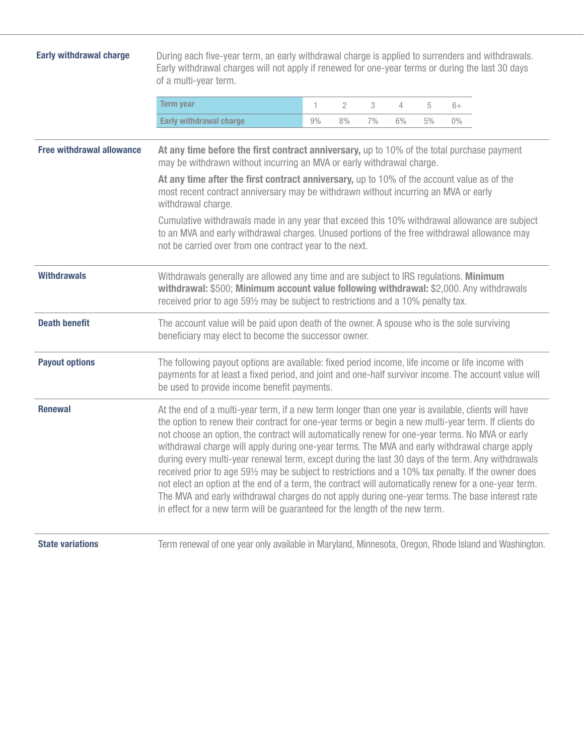| <b>Early withdrawal charge</b>   | During each five-year term, an early withdrawal charge is applied to surrenders and withdrawals.<br>Early withdrawal charges will not apply if renewed for one-year terms or during the last 30 days<br>of a multi-year term.                                                                                                                                                                                                                                                                                                                                                                                                                                                                                                                                                                                                                                                                                        |    |                |    |       |       |       |  |  |
|----------------------------------|----------------------------------------------------------------------------------------------------------------------------------------------------------------------------------------------------------------------------------------------------------------------------------------------------------------------------------------------------------------------------------------------------------------------------------------------------------------------------------------------------------------------------------------------------------------------------------------------------------------------------------------------------------------------------------------------------------------------------------------------------------------------------------------------------------------------------------------------------------------------------------------------------------------------|----|----------------|----|-------|-------|-------|--|--|
|                                  | <b>Term year</b>                                                                                                                                                                                                                                                                                                                                                                                                                                                                                                                                                                                                                                                                                                                                                                                                                                                                                                     | 1  | $\overline{2}$ | 3  | 4     | 5     | $6+$  |  |  |
|                                  | <b>Early withdrawal charge</b>                                                                                                                                                                                                                                                                                                                                                                                                                                                                                                                                                                                                                                                                                                                                                                                                                                                                                       | 9% | 8%             | 7% | $6\%$ | $5\%$ | $0\%$ |  |  |
| <b>Free withdrawal allowance</b> | At any time before the first contract anniversary, up to 10% of the total purchase payment<br>may be withdrawn without incurring an MVA or early withdrawal charge.                                                                                                                                                                                                                                                                                                                                                                                                                                                                                                                                                                                                                                                                                                                                                  |    |                |    |       |       |       |  |  |
|                                  | At any time after the first contract anniversary, up to 10% of the account value as of the<br>most recent contract anniversary may be withdrawn without incurring an MVA or early<br>withdrawal charge.                                                                                                                                                                                                                                                                                                                                                                                                                                                                                                                                                                                                                                                                                                              |    |                |    |       |       |       |  |  |
|                                  | Cumulative withdrawals made in any year that exceed this 10% withdrawal allowance are subject<br>to an MVA and early withdrawal charges. Unused portions of the free withdrawal allowance may<br>not be carried over from one contract year to the next.                                                                                                                                                                                                                                                                                                                                                                                                                                                                                                                                                                                                                                                             |    |                |    |       |       |       |  |  |
| <b>Withdrawals</b>               | Withdrawals generally are allowed any time and are subject to IRS regulations. Minimum<br>withdrawal: \$500; Minimum account value following withdrawal: \$2,000. Any withdrawals<br>received prior to age 591/2 may be subject to restrictions and a 10% penalty tax.                                                                                                                                                                                                                                                                                                                                                                                                                                                                                                                                                                                                                                               |    |                |    |       |       |       |  |  |
| <b>Death benefit</b>             | The account value will be paid upon death of the owner. A spouse who is the sole surviving<br>beneficiary may elect to become the successor owner.                                                                                                                                                                                                                                                                                                                                                                                                                                                                                                                                                                                                                                                                                                                                                                   |    |                |    |       |       |       |  |  |
| <b>Payout options</b>            | The following payout options are available: fixed period income, life income or life income with<br>payments for at least a fixed period, and joint and one-half survivor income. The account value will<br>be used to provide income benefit payments.                                                                                                                                                                                                                                                                                                                                                                                                                                                                                                                                                                                                                                                              |    |                |    |       |       |       |  |  |
| <b>Renewal</b>                   | At the end of a multi-year term, if a new term longer than one year is available, clients will have<br>the option to renew their contract for one-year terms or begin a new multi-year term. If clients do<br>not choose an option, the contract will automatically renew for one-year terms. No MVA or early<br>withdrawal charge will apply during one-year terms. The MVA and early withdrawal charge apply<br>during every multi-year renewal term, except during the last 30 days of the term. Any withdrawals<br>received prior to age 591/2 may be subject to restrictions and a 10% tax penalty. If the owner does<br>not elect an option at the end of a term, the contract will automatically renew for a one-year term.<br>The MVA and early withdrawal charges do not apply during one-year terms. The base interest rate<br>in effect for a new term will be guaranteed for the length of the new term. |    |                |    |       |       |       |  |  |
| <b>State variations</b>          | Term renewal of one year only available in Maryland, Minnesota, Oregon, Rhode Island and Washington.                                                                                                                                                                                                                                                                                                                                                                                                                                                                                                                                                                                                                                                                                                                                                                                                                 |    |                |    |       |       |       |  |  |